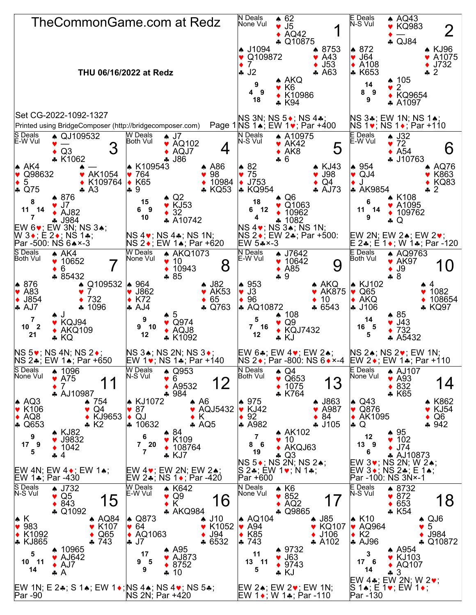